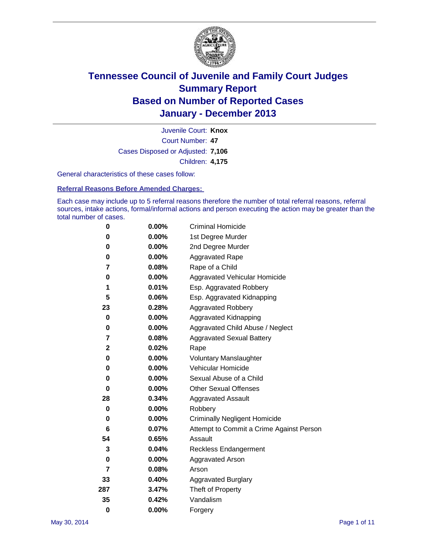

Court Number: **47** Juvenile Court: **Knox** Cases Disposed or Adjusted: **7,106** Children: **4,175**

General characteristics of these cases follow:

**Referral Reasons Before Amended Charges:** 

Each case may include up to 5 referral reasons therefore the number of total referral reasons, referral sources, intake actions, formal/informal actions and person executing the action may be greater than the total number of cases.

| 0            | $0.00\%$ | <b>Criminal Homicide</b>                 |
|--------------|----------|------------------------------------------|
| 0            | 0.00%    | 1st Degree Murder                        |
| 0            | 0.00%    | 2nd Degree Murder                        |
| 0            | $0.00\%$ | <b>Aggravated Rape</b>                   |
| 7            | 0.08%    | Rape of a Child                          |
| 0            | 0.00%    | <b>Aggravated Vehicular Homicide</b>     |
| 1            | 0.01%    | Esp. Aggravated Robbery                  |
| 5            | 0.06%    | Esp. Aggravated Kidnapping               |
| 23           | 0.28%    | <b>Aggravated Robbery</b>                |
| 0            | $0.00\%$ | Aggravated Kidnapping                    |
| 0            | 0.00%    | Aggravated Child Abuse / Neglect         |
| 7            | 0.08%    | <b>Aggravated Sexual Battery</b>         |
| $\mathbf{2}$ | 0.02%    | Rape                                     |
| 0            | 0.00%    | <b>Voluntary Manslaughter</b>            |
| 0            | 0.00%    | Vehicular Homicide                       |
| 0            | 0.00%    | Sexual Abuse of a Child                  |
| 0            | 0.00%    | <b>Other Sexual Offenses</b>             |
| 28           | 0.34%    | <b>Aggravated Assault</b>                |
| 0            | $0.00\%$ | Robbery                                  |
| 0            | 0.00%    | <b>Criminally Negligent Homicide</b>     |
| 6            | 0.07%    | Attempt to Commit a Crime Against Person |
| 54           | 0.65%    | Assault                                  |
| 3            | 0.04%    | <b>Reckless Endangerment</b>             |
| 0            | $0.00\%$ | <b>Aggravated Arson</b>                  |
| 7            | 0.08%    | Arson                                    |
| 33           | 0.40%    | <b>Aggravated Burglary</b>               |
| 287          | 3.47%    | Theft of Property                        |
| 35           | 0.42%    | Vandalism                                |
| $\bf{0}$     | 0.00%    | Forgery                                  |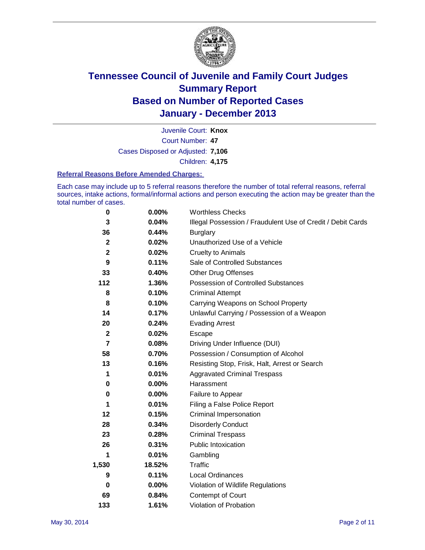

Court Number: **47** Juvenile Court: **Knox** Cases Disposed or Adjusted: **7,106** Children: **4,175**

#### **Referral Reasons Before Amended Charges:**

Each case may include up to 5 referral reasons therefore the number of total referral reasons, referral sources, intake actions, formal/informal actions and person executing the action may be greater than the total number of cases.

| 0              | 0.00%    | <b>Worthless Checks</b>                                     |
|----------------|----------|-------------------------------------------------------------|
| 3              | 0.04%    | Illegal Possession / Fraudulent Use of Credit / Debit Cards |
| 36             | 0.44%    | <b>Burglary</b>                                             |
| $\mathbf{2}$   | 0.02%    | Unauthorized Use of a Vehicle                               |
| $\mathbf{2}$   | 0.02%    | <b>Cruelty to Animals</b>                                   |
| 9              | 0.11%    | Sale of Controlled Substances                               |
| 33             | 0.40%    | <b>Other Drug Offenses</b>                                  |
| 112            | 1.36%    | Possession of Controlled Substances                         |
| 8              | 0.10%    | <b>Criminal Attempt</b>                                     |
| 8              | 0.10%    | Carrying Weapons on School Property                         |
| 14             | 0.17%    | Unlawful Carrying / Possession of a Weapon                  |
| 20             | 0.24%    | <b>Evading Arrest</b>                                       |
| $\mathbf{2}$   | 0.02%    | Escape                                                      |
| $\overline{7}$ | 0.08%    | Driving Under Influence (DUI)                               |
| 58             | 0.70%    | Possession / Consumption of Alcohol                         |
| 13             | 0.16%    | Resisting Stop, Frisk, Halt, Arrest or Search               |
| 1              | 0.01%    | <b>Aggravated Criminal Trespass</b>                         |
| 0              | $0.00\%$ | Harassment                                                  |
| 0              | 0.00%    | Failure to Appear                                           |
| 1              | 0.01%    | Filing a False Police Report                                |
| 12             | 0.15%    | Criminal Impersonation                                      |
| 28             | 0.34%    | <b>Disorderly Conduct</b>                                   |
| 23             | 0.28%    | <b>Criminal Trespass</b>                                    |
| 26             | 0.31%    | <b>Public Intoxication</b>                                  |
| 1              | 0.01%    | Gambling                                                    |
| 1,530          | 18.52%   | Traffic                                                     |
| 9              | 0.11%    | <b>Local Ordinances</b>                                     |
| 0              | 0.00%    | Violation of Wildlife Regulations                           |
| 69             | 0.84%    | Contempt of Court                                           |
| 133            | 1.61%    | Violation of Probation                                      |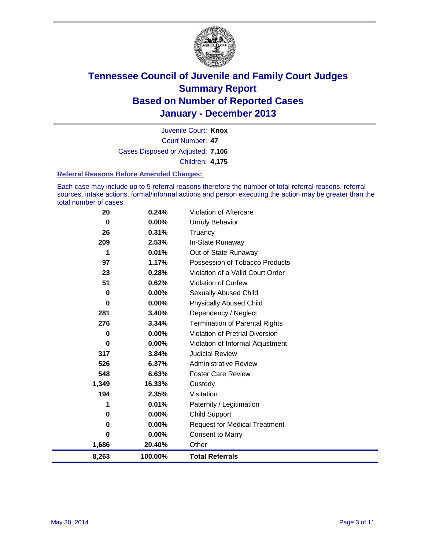

Court Number: **47** Juvenile Court: **Knox** Cases Disposed or Adjusted: **7,106** Children: **4,175**

#### **Referral Reasons Before Amended Charges:**

Each case may include up to 5 referral reasons therefore the number of total referral reasons, referral sources, intake actions, formal/informal actions and person executing the action may be greater than the total number of cases.

| 8,263    | 100.00%  | <b>Total Referrals</b>                 |
|----------|----------|----------------------------------------|
| 1,686    | 20.40%   | Other                                  |
| $\bf{0}$ | 0.00%    | <b>Consent to Marry</b>                |
| 0        | 0.00%    | <b>Request for Medical Treatment</b>   |
| 0        | 0.00%    | Child Support                          |
| 1        | 0.01%    | Paternity / Legitimation               |
| 194      | 2.35%    | Visitation                             |
| 1,349    | 16.33%   | Custody                                |
| 548      | 6.63%    | <b>Foster Care Review</b>              |
| 526      | 6.37%    | <b>Administrative Review</b>           |
| 317      | 3.84%    | <b>Judicial Review</b>                 |
| 0        | $0.00\%$ | Violation of Informal Adjustment       |
| 0        | $0.00\%$ | <b>Violation of Pretrial Diversion</b> |
| 276      | 3.34%    | <b>Termination of Parental Rights</b>  |
| 281      | 3.40%    | Dependency / Neglect                   |
| 0        | 0.00%    | <b>Physically Abused Child</b>         |
| 0        | 0.00%    | Sexually Abused Child                  |
| 51       | 0.62%    | Violation of Curfew                    |
| 23       | 0.28%    | Violation of a Valid Court Order       |
| 97       | 1.17%    | Possession of Tobacco Products         |
| 1        | 0.01%    | Out-of-State Runaway                   |
| 209      | 2.53%    | In-State Runaway                       |
| 26       | 0.31%    | Truancy                                |
| 0        | $0.00\%$ | Unruly Behavior                        |
| 20       | 0.24%    | <b>Violation of Aftercare</b>          |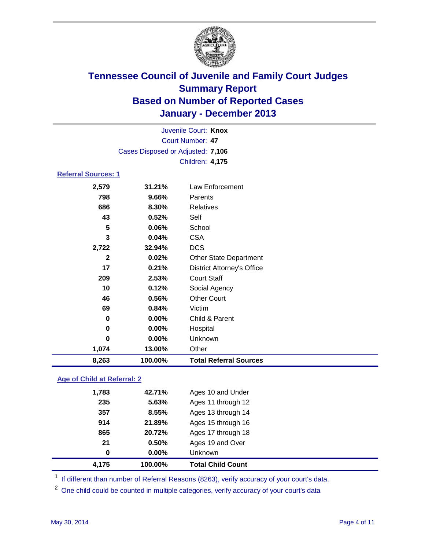

| 8,263                      | 100.00%                           | <b>Total Referral Sources</b>     |  |  |
|----------------------------|-----------------------------------|-----------------------------------|--|--|
| 1,074                      | 13.00%                            | Other                             |  |  |
| 0                          | 0.00%                             | Unknown                           |  |  |
| 0                          | $0.00\%$                          | Hospital                          |  |  |
| 0                          | $0.00\%$                          | Child & Parent                    |  |  |
| 69                         | 0.84%                             | Victim                            |  |  |
| 46                         | 0.56%                             | <b>Other Court</b>                |  |  |
| 10                         | 0.12%                             | Social Agency                     |  |  |
| 209                        | 2.53%                             | <b>Court Staff</b>                |  |  |
| 17                         | 0.21%                             | <b>District Attorney's Office</b> |  |  |
| $\mathbf{2}$               | 0.02%                             | <b>Other State Department</b>     |  |  |
| 2,722                      | 32.94%                            | <b>DCS</b>                        |  |  |
| 3                          | 0.04%                             | <b>CSA</b>                        |  |  |
| 5                          | 0.06%                             | School                            |  |  |
| 43                         | 0.52%                             | Self                              |  |  |
| 686                        | 8.30%                             | <b>Relatives</b>                  |  |  |
| 798                        | 9.66%                             | Parents                           |  |  |
| 2,579                      | 31.21%                            | Law Enforcement                   |  |  |
| <b>Referral Sources: 1</b> |                                   |                                   |  |  |
|                            |                                   | Children: 4,175                   |  |  |
|                            | Cases Disposed or Adjusted: 7,106 |                                   |  |  |
|                            |                                   | <b>Court Number: 47</b>           |  |  |
|                            | Juvenile Court: Knox              |                                   |  |  |
|                            |                                   |                                   |  |  |

### **Age of Child at Referral: 2**

| 4.175 | 100.00%  | <b>Total Child Count</b> |
|-------|----------|--------------------------|
| 0     | $0.00\%$ | <b>Unknown</b>           |
| 21    | 0.50%    | Ages 19 and Over         |
| 865   | 20.72%   | Ages 17 through 18       |
| 914   | 21.89%   | Ages 15 through 16       |
| 357   | 8.55%    | Ages 13 through 14       |
| 235   | 5.63%    | Ages 11 through 12       |
| 1,783 | 42.71%   | Ages 10 and Under        |
|       |          |                          |

<sup>1</sup> If different than number of Referral Reasons (8263), verify accuracy of your court's data.

<sup>2</sup> One child could be counted in multiple categories, verify accuracy of your court's data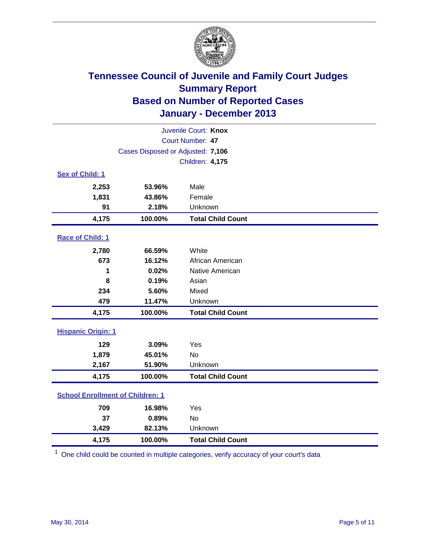

| Juvenile Court: Knox                    |                                   |                          |  |  |
|-----------------------------------------|-----------------------------------|--------------------------|--|--|
|                                         |                                   | Court Number: 47         |  |  |
|                                         | Cases Disposed or Adjusted: 7,106 |                          |  |  |
|                                         |                                   | Children: 4,175          |  |  |
| Sex of Child: 1                         |                                   |                          |  |  |
| 2,253                                   | 53.96%                            | Male                     |  |  |
| 1,831                                   | 43.86%                            | Female                   |  |  |
| 91                                      | 2.18%                             | Unknown                  |  |  |
| 4,175                                   | 100.00%                           | <b>Total Child Count</b> |  |  |
| Race of Child: 1                        |                                   |                          |  |  |
| 2,780                                   | 66.59%                            | White                    |  |  |
| 673                                     | 16.12%                            | African American         |  |  |
| 1                                       | 0.02%                             | Native American          |  |  |
| 8                                       | 0.19%                             | Asian                    |  |  |
| 234                                     | 5.60%                             | Mixed                    |  |  |
| 479                                     | 11.47%                            | Unknown                  |  |  |
| 4,175                                   | 100.00%                           | <b>Total Child Count</b> |  |  |
| <b>Hispanic Origin: 1</b>               |                                   |                          |  |  |
| 129                                     | 3.09%                             | Yes                      |  |  |
| 1,879                                   | 45.01%                            | <b>No</b>                |  |  |
| 2,167                                   | 51.90%                            | Unknown                  |  |  |
| 4,175                                   | 100.00%                           | <b>Total Child Count</b> |  |  |
| <b>School Enrollment of Children: 1</b> |                                   |                          |  |  |
| 709                                     | 16.98%                            | Yes                      |  |  |
| 37                                      | 0.89%                             | <b>No</b>                |  |  |
| 3,429                                   | 82.13%                            | Unknown                  |  |  |
| 4,175                                   | 100.00%                           | <b>Total Child Count</b> |  |  |

 $1$  One child could be counted in multiple categories, verify accuracy of your court's data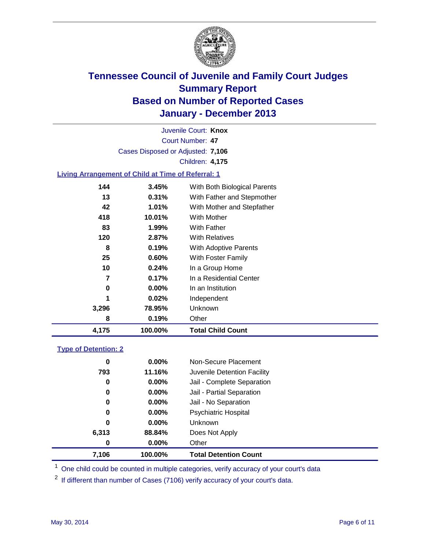

Court Number: **47** Juvenile Court: **Knox** Cases Disposed or Adjusted: **7,106** Children: **4,175**

### **Living Arrangement of Child at Time of Referral: 1**

| 4,175 | 100.00%  | <b>Total Child Count</b>     |
|-------|----------|------------------------------|
| 8     | 0.19%    | Other                        |
| 3,296 | 78.95%   | Unknown                      |
| 1     | 0.02%    | Independent                  |
| 0     | $0.00\%$ | In an Institution            |
| 7     | 0.17%    | In a Residential Center      |
| 10    | $0.24\%$ | In a Group Home              |
| 25    | $0.60\%$ | With Foster Family           |
| 8     | 0.19%    | <b>With Adoptive Parents</b> |
| 120   | 2.87%    | <b>With Relatives</b>        |
| 83    | 1.99%    | With Father                  |
| 418   | 10.01%   | With Mother                  |
| 42    | 1.01%    | With Mother and Stepfather   |
| 13    | 0.31%    | With Father and Stepmother   |
| 144   | 3.45%    | With Both Biological Parents |
|       |          |                              |

#### **Type of Detention: 2**

| 7,106 | 100.00%  | <b>Total Detention Count</b> |  |
|-------|----------|------------------------------|--|
| 0     | 0.00%    | Other                        |  |
| 6,313 | 88.84%   | Does Not Apply               |  |
| 0     | 0.00%    | <b>Unknown</b>               |  |
| 0     | $0.00\%$ | <b>Psychiatric Hospital</b>  |  |
| 0     | 0.00%    | Jail - No Separation         |  |
| 0     | $0.00\%$ | Jail - Partial Separation    |  |
| 0     | 0.00%    | Jail - Complete Separation   |  |
| 793   | 11.16%   | Juvenile Detention Facility  |  |
| 0     | 0.00%    | Non-Secure Placement         |  |
|       |          |                              |  |

<sup>1</sup> One child could be counted in multiple categories, verify accuracy of your court's data

<sup>2</sup> If different than number of Cases (7106) verify accuracy of your court's data.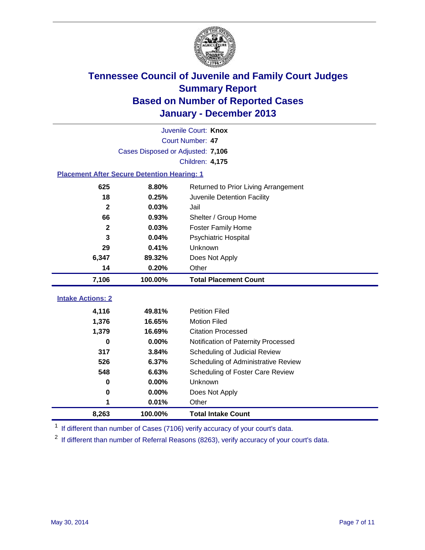

|                                                    | Juvenile Court: Knox              |                                      |  |  |  |
|----------------------------------------------------|-----------------------------------|--------------------------------------|--|--|--|
|                                                    | Court Number: 47                  |                                      |  |  |  |
|                                                    | Cases Disposed or Adjusted: 7,106 |                                      |  |  |  |
|                                                    |                                   | Children: 4,175                      |  |  |  |
| <b>Placement After Secure Detention Hearing: 1</b> |                                   |                                      |  |  |  |
| 625                                                | 8.80%                             | Returned to Prior Living Arrangement |  |  |  |
| 18                                                 | 0.25%                             | Juvenile Detention Facility          |  |  |  |
| $\mathbf{2}$                                       | 0.03%                             | Jail                                 |  |  |  |
| 66                                                 | 0.93%                             | Shelter / Group Home                 |  |  |  |
| $\mathbf 2$                                        | 0.03%                             | <b>Foster Family Home</b>            |  |  |  |
| 3                                                  | 0.04%                             | Psychiatric Hospital                 |  |  |  |
| 29                                                 | 0.41%                             | Unknown                              |  |  |  |
| 6,347                                              | 89.32%                            | Does Not Apply                       |  |  |  |
| 14                                                 | 0.20%                             | Other                                |  |  |  |
| 7,106                                              | 100.00%                           | <b>Total Placement Count</b>         |  |  |  |
|                                                    |                                   |                                      |  |  |  |
| <b>Intake Actions: 2</b>                           |                                   |                                      |  |  |  |
| 4,116                                              | 49.81%                            | <b>Petition Filed</b>                |  |  |  |
| 1,376                                              | 16.65%                            | <b>Motion Filed</b>                  |  |  |  |
| 1,379                                              | 16.69%                            | <b>Citation Processed</b>            |  |  |  |
| 0                                                  | 0.00%                             | Notification of Paternity Processed  |  |  |  |
| 317                                                | 3.84%                             | Scheduling of Judicial Review        |  |  |  |
| 526                                                | 6.37%                             | Scheduling of Administrative Review  |  |  |  |
| 548                                                | 6.63%                             | Scheduling of Foster Care Review     |  |  |  |
| 0                                                  | 0.00%                             | Unknown                              |  |  |  |
| $\bf{0}$                                           | 0.00%                             | Does Not Apply                       |  |  |  |
| 1                                                  | 0.01%                             | Other                                |  |  |  |
| 8,263                                              | 100.00%                           | <b>Total Intake Count</b>            |  |  |  |

<sup>1</sup> If different than number of Cases (7106) verify accuracy of your court's data.

 $2$  If different than number of Referral Reasons (8263), verify accuracy of your court's data.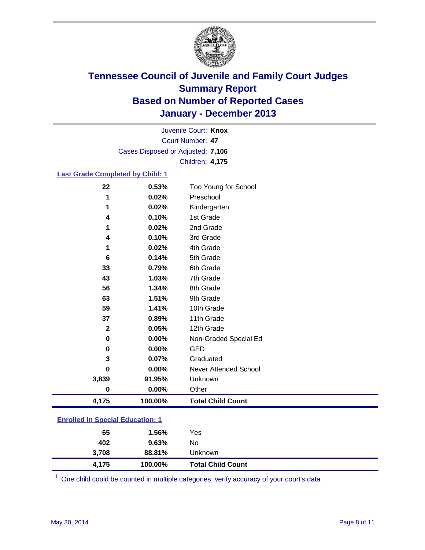

Court Number: **47** Juvenile Court: **Knox** Cases Disposed or Adjusted: **7,106** Children: **4,175**

#### **Last Grade Completed by Child: 1**

| 4,175        | 100.00% | <b>Total Child Count</b> |
|--------------|---------|--------------------------|
| $\bf{0}$     | 0.00%   | Other                    |
| 3,839        | 91.95%  | Unknown                  |
| $\bf{0}$     | 0.00%   | Never Attended School    |
| 3            | 0.07%   | Graduated                |
| 0            | 0.00%   | <b>GED</b>               |
| 0            | 0.00%   | Non-Graded Special Ed    |
| $\mathbf{2}$ | 0.05%   | 12th Grade               |
| 37           | 0.89%   | 11th Grade               |
| 59           | 1.41%   | 10th Grade               |
| 63           | 1.51%   | 9th Grade                |
| 56           | 1.34%   | 8th Grade                |
| 43           | 1.03%   | 7th Grade                |
| 33           | 0.79%   | 6th Grade                |
| 6            | 0.14%   | 5th Grade                |
| 1            | 0.02%   | 4th Grade                |
| 4            | 0.10%   | 3rd Grade                |
| 1            | 0.02%   | 2nd Grade                |
| 4            | 0.10%   | 1st Grade                |
| 1            | 0.02%   | Kindergarten             |
| 1            | 0.02%   | Preschool                |
| 22           | 0.53%   | Too Young for School     |

**Enrolled in Special Education: 1**

| 4.175 | 100.00% | <b>Total Child Count</b> |
|-------|---------|--------------------------|
| 3,708 | 88.81%  | Unknown                  |
| 402   | 9.63%   | No                       |
| 65    | 1.56%   | Yes                      |
|       |         |                          |

One child could be counted in multiple categories, verify accuracy of your court's data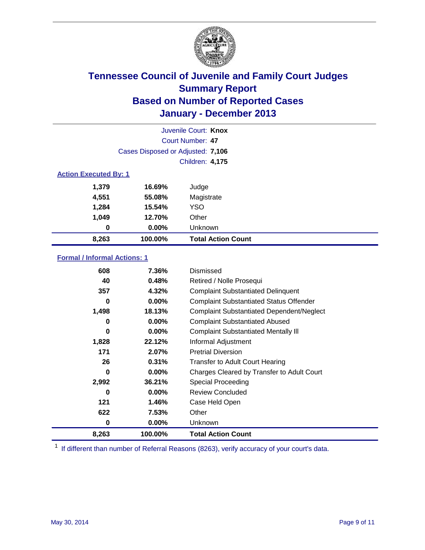

| Juvenile Court: Knox         |                                   |                           |  |  |  |
|------------------------------|-----------------------------------|---------------------------|--|--|--|
|                              | Court Number: 47                  |                           |  |  |  |
|                              | Cases Disposed or Adjusted: 7,106 |                           |  |  |  |
|                              |                                   | Children: 4,175           |  |  |  |
| <b>Action Executed By: 1</b> |                                   |                           |  |  |  |
| 1,379                        | 16.69%                            | Judge                     |  |  |  |
| 4,551                        | 55.08%                            | Magistrate                |  |  |  |
| 1,284                        | 15.54%                            | <b>YSO</b>                |  |  |  |
| 1,049                        | 12.70%                            | Other                     |  |  |  |
| 0                            | 0.00%                             | Unknown                   |  |  |  |
| 8,263                        | 100.00%                           | <b>Total Action Count</b> |  |  |  |

### **Formal / Informal Actions: 1**

| 608   | 7.36%    | Dismissed                                        |
|-------|----------|--------------------------------------------------|
| 40    | 0.48%    | Retired / Nolle Prosequi                         |
| 357   | 4.32%    | <b>Complaint Substantiated Delinquent</b>        |
| 0     | $0.00\%$ | <b>Complaint Substantiated Status Offender</b>   |
| 1,498 | 18.13%   | <b>Complaint Substantiated Dependent/Neglect</b> |
| 0     | $0.00\%$ | <b>Complaint Substantiated Abused</b>            |
| 0     | $0.00\%$ | <b>Complaint Substantiated Mentally III</b>      |
| 1,828 | 22.12%   | Informal Adjustment                              |
| 171   | 2.07%    | <b>Pretrial Diversion</b>                        |
| 26    | 0.31%    | <b>Transfer to Adult Court Hearing</b>           |
| 0     | 0.00%    | Charges Cleared by Transfer to Adult Court       |
| 2,992 | 36.21%   | Special Proceeding                               |
| 0     | $0.00\%$ | <b>Review Concluded</b>                          |
| 121   | 1.46%    | Case Held Open                                   |
| 622   | 7.53%    | Other                                            |
| 0     | $0.00\%$ | <b>Unknown</b>                                   |
| 8,263 | 100.00%  | <b>Total Action Count</b>                        |

<sup>1</sup> If different than number of Referral Reasons (8263), verify accuracy of your court's data.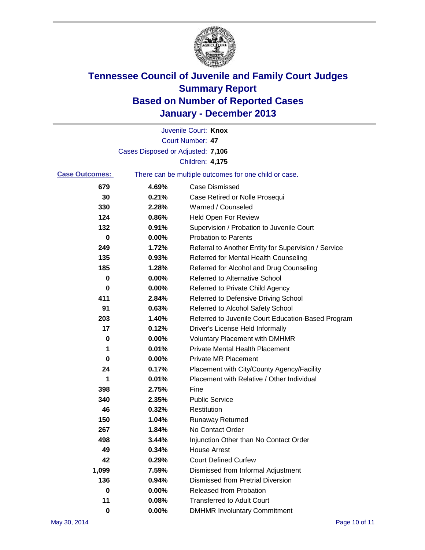

|          | Juvenile Court: Knox                                  |
|----------|-------------------------------------------------------|
|          | Court Number: 47                                      |
|          |                                                       |
|          | Children: 4,175                                       |
|          | There can be multiple outcomes for one child or case. |
| 4.69%    | <b>Case Dismissed</b>                                 |
| 0.21%    | Case Retired or Nolle Prosequi                        |
| 2.28%    | Warned / Counseled                                    |
| 0.86%    | Held Open For Review                                  |
| 0.91%    | Supervision / Probation to Juvenile Court             |
| 0.00%    | <b>Probation to Parents</b>                           |
| 1.72%    | Referral to Another Entity for Supervision / Service  |
| 0.93%    | Referred for Mental Health Counseling                 |
| 1.28%    | Referred for Alcohol and Drug Counseling              |
| $0.00\%$ | Referred to Alternative School                        |
| 0.00%    | Referred to Private Child Agency                      |
| 2.84%    | Referred to Defensive Driving School                  |
| 0.63%    | Referred to Alcohol Safety School                     |
| 1.40%    | Referred to Juvenile Court Education-Based Program    |
| 0.12%    | Driver's License Held Informally                      |
| 0.00%    | <b>Voluntary Placement with DMHMR</b>                 |
| 0.01%    | <b>Private Mental Health Placement</b>                |
| 0.00%    | <b>Private MR Placement</b>                           |
| 0.17%    | Placement with City/County Agency/Facility            |
| 0.01%    | Placement with Relative / Other Individual            |
| 2.75%    | Fine                                                  |
| 2.35%    | <b>Public Service</b>                                 |
| 0.32%    | Restitution                                           |
| 1.04%    | <b>Runaway Returned</b>                               |
| 1.84%    | No Contact Order                                      |
| 3.44%    | Injunction Other than No Contact Order                |
| 0.34%    | <b>House Arrest</b>                                   |
| 0.29%    | <b>Court Defined Curfew</b>                           |
| 7.59%    | Dismissed from Informal Adjustment                    |
| 0.94%    | <b>Dismissed from Pretrial Diversion</b>              |
| 0.00%    | Released from Probation                               |
| 0.08%    | <b>Transferred to Adult Court</b>                     |
| 0.00%    | <b>DMHMR Involuntary Commitment</b>                   |
|          | Cases Disposed or Adjusted: 7,106                     |